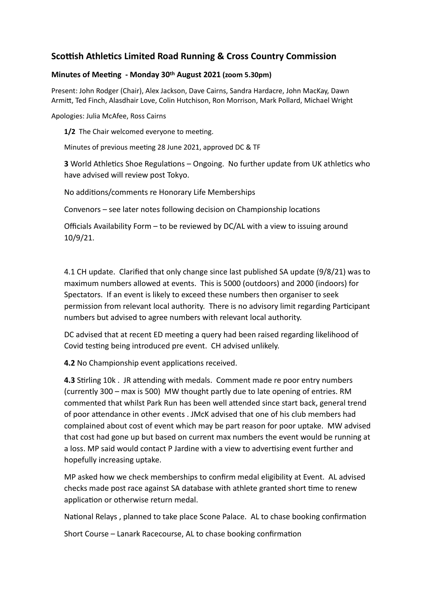# **Scottish Athletics Limited Road Running & Cross Country Commission**

#### **Minutes of Meeting - Monday 30th August 2021 (zoom 5.30pm)**

Present: John Rodger (Chair), Alex Jackson, Dave Cairns, Sandra Hardacre, John MacKay, Dawn Armitt, Ted Finch, Alasdhair Love, Colin Hutchison, Ron Morrison, Mark Pollard, Michael Wright

Apologies: Julia McAfee, Ross Cairns

**1/2** The Chair welcomed everyone to meeting.

Minutes of previous meeting 28 June 2021, approved DC & TF

**3** World Athletics Shoe Regulations – Ongoing. No further update from UK athletics who have advised will review post Tokyo.

No additions/comments re Honorary Life Memberships

Convenors – see later notes following decision on Championship locations

Officials Availability Form – to be reviewed by DC/AL with a view to issuing around 10/9/21.

4.1 CH update. Clarified that only change since last published SA update (9/8/21) was to maximum numbers allowed at events. This is 5000 (outdoors) and 2000 (indoors) for Spectators. If an event is likely to exceed these numbers then organiser to seek permission from relevant local authority. There is no advisory limit regarding Participant numbers but advised to agree numbers with relevant local authority.

DC advised that at recent ED meeting a query had been raised regarding likelihood of Covid testing being introduced pre event. CH advised unlikely.

**4.2** No Championship event applications received.

**4.3** Stirling 10k . JR attending with medals. Comment made re poor entry numbers (currently 300 – max is 500) MW thought partly due to late opening of entries. RM commented that whilst Park Run has been well attended since start back, general trend of poor attendance in other events . JMcK advised that one of his club members had complained about cost of event which may be part reason for poor uptake. MW advised that cost had gone up but based on current max numbers the event would be running at a loss. MP said would contact P Jardine with a view to advertising event further and hopefully increasing uptake.

MP asked how we check memberships to confirm medal eligibility at Event. AL advised checks made post race against SA database with athlete granted short time to renew application or otherwise return medal.

National Relays , planned to take place Scone Palace. AL to chase booking confirmation

Short Course – Lanark Racecourse, AL to chase booking confirmation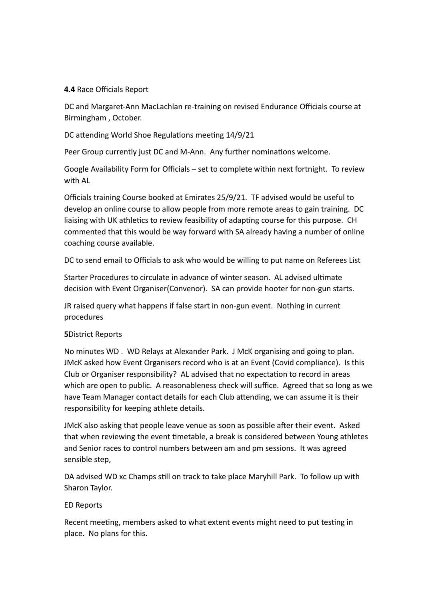### **4.4** Race Officials Report

DC and Margaret-Ann MacLachlan re-training on revised Endurance Officials course at Birmingham , October.

DC attending World Shoe Regulations meeting 14/9/21

Peer Group currently just DC and M-Ann. Any further nominations welcome.

Google Availability Form for Officials – set to complete within next fortnight. To review with AL

Officials training Course booked at Emirates 25/9/21. TF advised would be useful to develop an online course to allow people from more remote areas to gain training. DC liaising with UK athletics to review feasibility of adapting course for this purpose. CH commented that this would be way forward with SA already having a number of online coaching course available.

DC to send email to Officials to ask who would be willing to put name on Referees List

Starter Procedures to circulate in advance of winter season. AL advised ultimate decision with Event Organiser(Convenor). SA can provide hooter for non-gun starts.

JR raised query what happens if false start in non-gun event. Nothing in current procedures

## **5**District Reports

No minutes WD . WD Relays at Alexander Park. J McK organising and going to plan. JMcK asked how Event Organisers record who is at an Event (Covid compliance). Is this Club or Organiser responsibility? AL advised that no expectation to record in areas which are open to public. A reasonableness check will suffice. Agreed that so long as we have Team Manager contact details for each Club attending, we can assume it is their responsibility for keeping athlete details.

JMcK also asking that people leave venue as soon as possible after their event. Asked that when reviewing the event timetable, a break is considered between Young athletes and Senior races to control numbers between am and pm sessions. It was agreed sensible step,

DA advised WD xc Champs still on track to take place Maryhill Park. To follow up with Sharon Taylor.

## ED Reports

Recent meeting, members asked to what extent events might need to put testing in place. No plans for this.